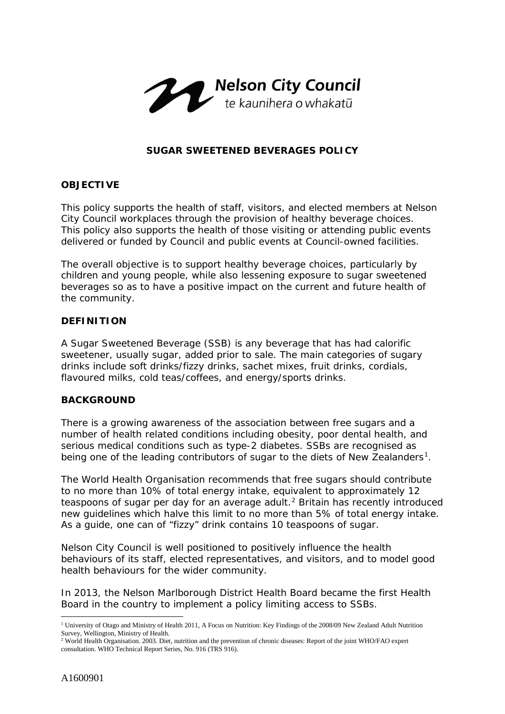

# **SUGAR SWEETENED BEVERAGES POLICY**

# **OBJECTIVE**

This policy supports the health of staff, visitors, and elected members at Nelson City Council workplaces through the provision of healthy beverage choices. This policy also supports the health of those visiting or attending public events delivered or funded by Council and public events at Council-owned facilities.

The overall objective is to support healthy beverage choices, particularly by children and young people, while also lessening exposure to sugar sweetened beverages so as to have a positive impact on the current and future health of the community.

# **DEFINITION**

A Sugar Sweetened Beverage (SSB) is any beverage that has had calorific sweetener, usually sugar, added prior to sale. The main categories of sugary drinks include soft drinks/fizzy drinks, sachet mixes, fruit drinks, cordials, flavoured milks, cold teas/coffees, and energy/sports drinks.

# **BACKGROUND**

There is a growing awareness of the association between free sugars and a number of health related conditions including obesity, poor dental health, and serious medical conditions such as type-2 diabetes. SSBs are recognised as being one of the leading contributors of sugar to the diets of New Zealanders<sup>1</sup>.

The World Health Organisation recommends that free sugars should contribute to no more than 10% of total energy intake, equivalent to approximately 12 teaspoons of sugar per day for an average adult.<sup>[2](#page-0-1)</sup> Britain has recently introduced new guidelines which halve this limit to no more than 5% of total energy intake. As a guide, one can of "fizzy" drink contains 10 teaspoons of sugar.

Nelson City Council is well positioned to positively influence the health behaviours of its staff, elected representatives, and visitors, and to model good health behaviours for the wider community.

In 2013, the Nelson Marlborough District Health Board became the first Health Board in the country to implement a policy limiting access to SSBs.

<span id="page-0-0"></span> <sup>1</sup> University of Otago and Ministry of Health 2011, A Focus on Nutrition: Key Findings of the 2008/09 New Zealand Adult Nutrition Survey, Wellington, Ministry of Health.

<span id="page-0-1"></span><sup>&</sup>lt;sup>2</sup> World Health Organisation. 2003. Diet, nutrition and the prevention of chronic diseases: Report of the joint WHO/FAO expert consultation. WHO Technical Report Series, No. 916 (TRS 916).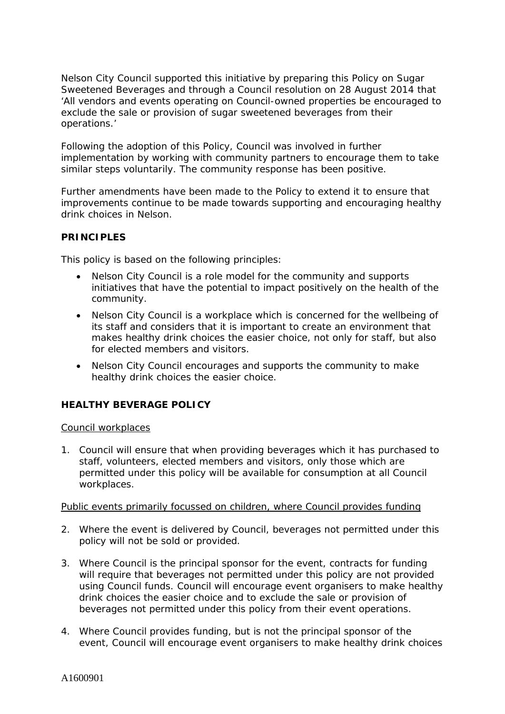Nelson City Council supported this initiative by preparing this Policy on Sugar Sweetened Beverages and through a Council resolution on 28 August 2014 that *'All vendors and events operating on Council-owned properties be encouraged to exclude the sale or provision of sugar sweetened beverages from their operations*.'

Following the adoption of this Policy, Council was involved in further implementation by working with community partners to encourage them to take similar steps voluntarily. The community response has been positive.

Further amendments have been made to the Policy to extend it to ensure that improvements continue to be made towards supporting and encouraging healthy drink choices in Nelson.

# **PRINCIPLES**

This policy is based on the following principles:

- Nelson City Council is a role model for the community and supports initiatives that have the potential to impact positively on the health of the community.
- Nelson City Council is a workplace which is concerned for the wellbeing of its staff and considers that it is important to create an environment that makes healthy drink choices the easier choice, not only for staff, but also for elected members and visitors.
- Nelson City Council encourages and supports the community to make healthy drink choices the easier choice.

# **HEALTHY BEVERAGE POLICY**

#### Council workplaces

1. Council will ensure that when providing beverages which it has purchased to staff, volunteers, elected members and visitors, only those which are permitted under this policy will be available for consumption at all Council workplaces.

#### Public events primarily focussed on children, where Council provides funding

- 2. Where the event is delivered by Council, beverages not permitted under this policy will not be sold or provided.
- 3. Where Council is the principal sponsor for the event, contracts for funding will require that beverages not permitted under this policy are not provided using Council funds. Council will encourage event organisers to make healthy drink choices the easier choice and to exclude the sale or provision of beverages not permitted under this policy from their event operations.
- 4. Where Council provides funding, but is not the principal sponsor of the event, Council will encourage event organisers to make healthy drink choices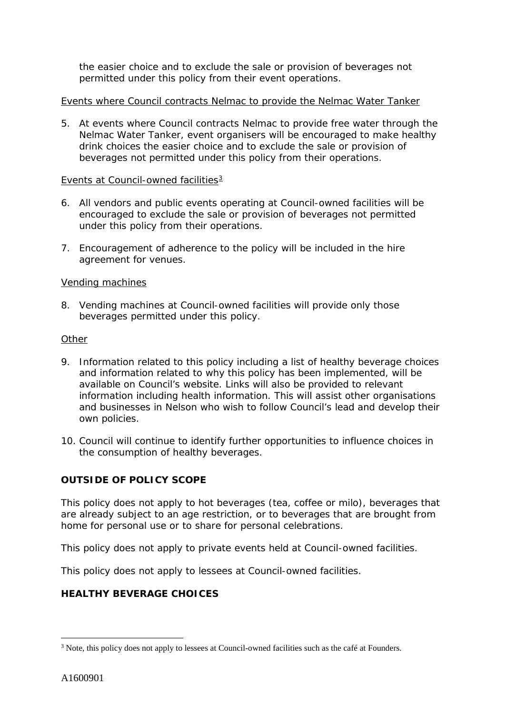the easier choice and to exclude the sale or provision of beverages not permitted under this policy from their event operations.

# Events where Council contracts Nelmac to provide the Nelmac Water Tanker

5. At events where Council contracts Nelmac to provide free water through the Nelmac Water Tanker, event organisers will be encouraged to make healthy drink choices the easier choice and to exclude the sale or provision of beverages not permitted under this policy from their operations.

# Events at Council-owned facilities $3$

- 6. All vendors and public events operating at Council-owned facilities will be encouraged to exclude the sale or provision of beverages not permitted under this policy from their operations.
- 7. Encouragement of adherence to the policy will be included in the hire agreement for venues.

# Vending machines

8. Vending machines at Council-owned facilities will provide only those beverages permitted under this policy.

#### **Other**

- 9. Information related to this policy including a list of healthy beverage choices and information related to why this policy has been implemented, will be available on Council's website. Links will also be provided to relevant information including health information. This will assist other organisations and businesses in Nelson who wish to follow Council's lead and develop their own policies.
- 10. Council will continue to identify further opportunities to influence choices in the consumption of healthy beverages.

# **OUTSIDE OF POLICY SCOPE**

This policy does not apply to hot beverages (tea, coffee or milo), beverages that are already subject to an age restriction, or to beverages that are brought from home for personal use or to share for personal celebrations.

This policy does not apply to private events held at Council-owned facilities.

This policy does not apply to lessees at Council-owned facilities.

# **HEALTHY BEVERAGE CHOICES**

<span id="page-2-0"></span><sup>&</sup>lt;sup>3</sup> Note, this policy does not apply to lessees at Council-owned facilities such as the café at Founders.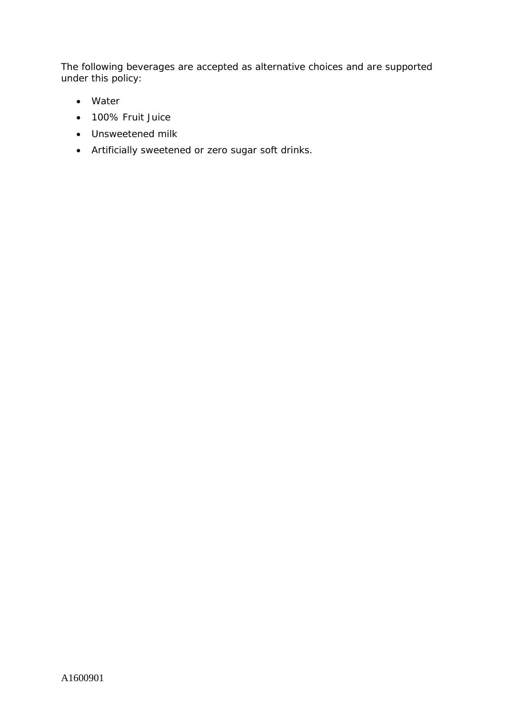The following beverages are accepted as alternative choices and are supported under this policy:

- Water
- 100% Fruit Juice
- Unsweetened milk
- Artificially sweetened or zero sugar soft drinks.